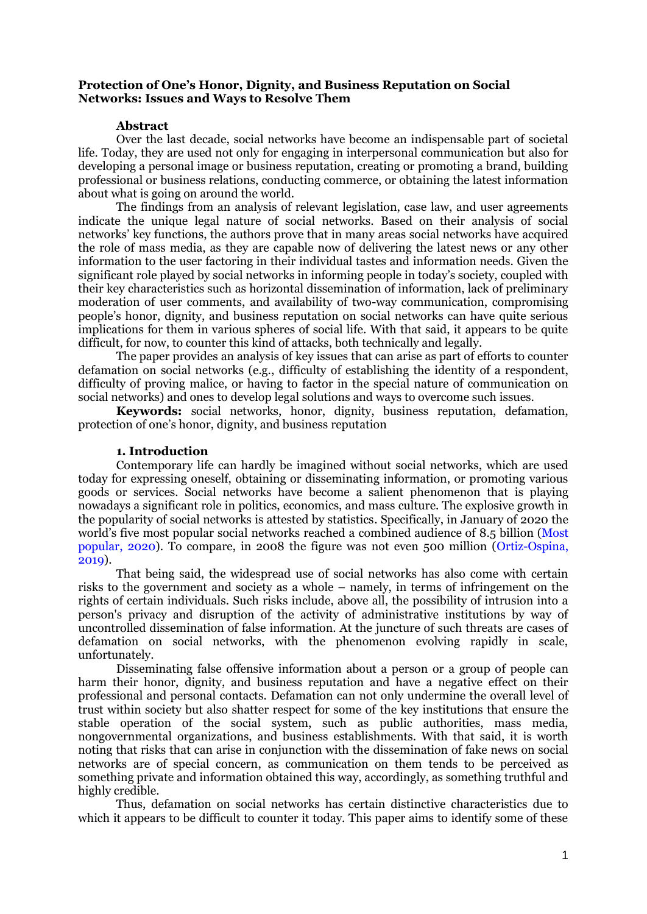## **Protection of One's Honor, Dignity, and Business Reputation on Social Networks: Issues and Ways to Resolve Them**

### **Abstract**

Over the last decade, social networks have become an indispensable part of societal life. Today, they are used not only for engaging in interpersonal communication but also for developing a personal image or business reputation, creating or promoting a brand, building professional or business relations, conducting commerce, or obtaining the latest information about what is going on around the world.

The findings from an analysis of relevant legislation, case law, and user agreements indicate the unique legal nature of social networks. Based on their analysis of social networks" key functions, the authors prove that in many areas social networks have acquired the role of mass media, as they are capable now of delivering the latest news or any other information to the user factoring in their individual tastes and information needs. Given the significant role played by social networks in informing people in today"s society, coupled with their key characteristics such as horizontal dissemination of information, lack of preliminary moderation of user comments, and availability of two-way communication, compromising people"s honor, dignity, and business reputation on social networks can have quite serious implications for them in various spheres of social life. With that said, it appears to be quite difficult, for now, to counter this kind of attacks, both technically and legally.

The paper provides an analysis of key issues that can arise as part of efforts to counter defamation on social networks (e.g., difficulty of establishing the identity of a respondent, difficulty of proving malice, or having to factor in the special nature of communication on social networks) and ones to develop legal solutions and ways to overcome such issues.

**Keywords:** social networks, honor, dignity, business reputation, defamation, protection of one"s honor, dignity, and business reputation

### **1. Introduction**

Contemporary life can hardly be imagined without social networks, which are used today for expressing oneself, obtaining or disseminating information, or promoting various goods or services. Social networks have become a salient phenomenon that is playing nowadays a significant role in politics, economics, and mass culture. The explosive growth in the popularity of social networks is attested by statistics. Specifically, in January of 2020 the world"s five most popular social networks reached a combined audience of 8.5 billion (Most popular, 2020). To compare, in 2008 the figure was not even 500 million (Ortiz-Ospina, 2019).

That being said, the widespread use of social networks has also come with certain risks to the government and society as a whole – namely, in terms of infringement on the rights of certain individuals. Such risks include, above all, the possibility of intrusion into a person's privacy and disruption of the activity of administrative institutions by way of uncontrolled dissemination of false information. At the juncture of such threats are cases of defamation on social networks, with the phenomenon evolving rapidly in scale, unfortunately.

Disseminating false offensive information about a person or a group of people can harm their honor, dignity, and business reputation and have a negative effect on their professional and personal contacts. Defamation can not only undermine the overall level of trust within society but also shatter respect for some of the key institutions that ensure the stable operation of the social system, such as public authorities, mass media, nongovernmental organizations, and business establishments. With that said, it is worth noting that risks that can arise in conjunction with the dissemination of fake news on social networks are of special concern, as communication on them tends to be perceived as something private and information obtained this way, accordingly, as something truthful and highly credible.

Thus, defamation on social networks has certain distinctive characteristics due to which it appears to be difficult to counter it today. This paper aims to identify some of these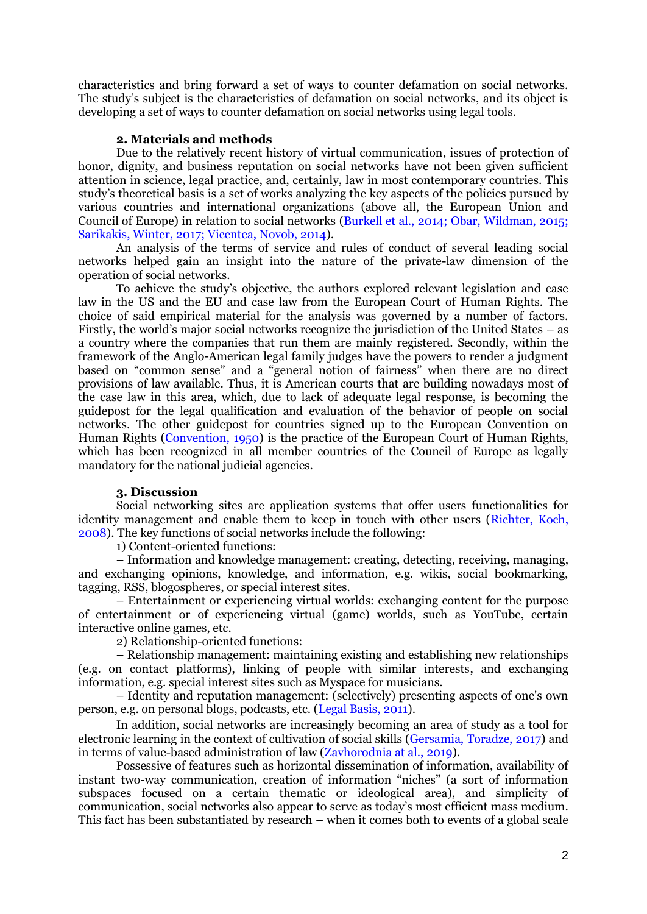characteristics and bring forward a set of ways to counter defamation on social networks. The study"s subject is the characteristics of defamation on social networks, and its object is developing a set of ways to counter defamation on social networks using legal tools.

### **2. Materials and methods**

Due to the relatively recent history of virtual communication, issues of protection of honor, dignity, and business reputation on social networks have not been given sufficient attention in science, legal practice, and, certainly, law in most contemporary countries. This study"s theoretical basis is a set of works analyzing the key aspects of the policies pursued by various countries and international organizations (above all, the European Union and Council of Europe) in relation to social networks (Burkell et al., 2014; Obar, Wildman, 2015; Sarikakis, Winter, 2017; Vicentea, Novob, 2014).

An analysis of the terms of service and rules of conduct of several leading social networks helped gain an insight into the nature of the private-law dimension of the operation of social networks.

To achieve the study"s objective, the authors explored relevant legislation and case law in the US and the EU and case law from the European Court of Human Rights. The choice of said empirical material for the analysis was governed by a number of factors. Firstly, the world"s major social networks recognize the jurisdiction of the United States – as a country where the companies that run them are mainly registered. Secondly, within the framework of the Anglo-American legal family judges have the powers to render a judgment based on "common sense" and a "general notion of fairness" when there are no direct provisions of law available. Thus, it is American courts that are building nowadays most of the case law in this area, which, due to lack of adequate legal response, is becoming the guidepost for the legal qualification and evaluation of the behavior of people on social networks. The other guidepost for countries signed up to the European Convention on Human Rights (Convention, 1950) is the practice of the European Court of Human Rights, which has been recognized in all member countries of the Council of Europe as legally mandatory for the national judicial agencies.

### **3. Discussion**

Social networking sites are application systems that offer users functionalities for identity management and enable them to keep in touch with other users (Richter, Koch, 2008). The key functions of social networks include the following:

1) Content-oriented functions:

– Information and knowledge management: creating, detecting, receiving, managing, and exchanging opinions, knowledge, and information, e.g. wikis, social bookmarking, tagging, RSS, blogospheres, or special interest sites.

– Entertainment or experiencing virtual worlds: exchanging content for the purpose of entertainment or of experiencing virtual (game) worlds, such as YouTube, certain interactive online games, etc.

2) Relationship-oriented functions:

– Relationship management: maintaining existing and establishing new relationships (e.g. on contact platforms), linking of people with similar interests, and exchanging information, e.g. special interest sites such as Myspace for musicians.

– Identity and reputation management: (selectively) presenting aspects of one's own person, e.g. on personal blogs, podcasts, etc. (Legal Basis, 2011).

In addition, social networks are increasingly becoming an area of study as a tool for electronic learning in the context of cultivation of social skills (Gersamia, Toradze, 2017) and in terms of value-based administration of law (Zavhorodnia at al., 2019).

Possessive of features such as horizontal dissemination of information, availability of instant two-way communication, creation of information "niches" (a sort of information subspaces focused on a certain thematic or ideological area), and simplicity of communication, social networks also appear to serve as today"s most efficient mass medium. This fact has been substantiated by research – when it comes both to events of a global scale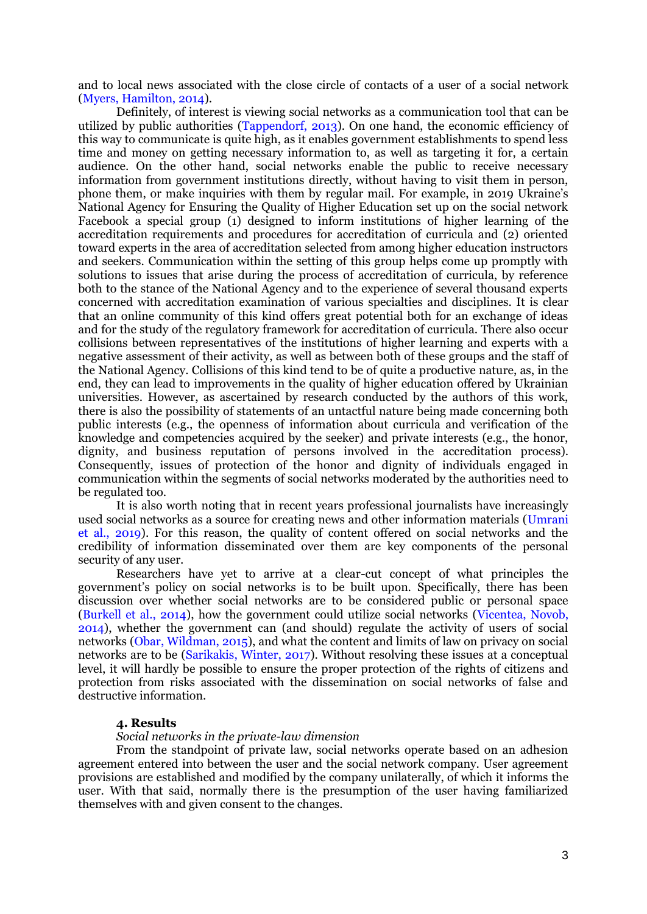and to local news associated with the close circle of contacts of a user of a social network (Myers, Hamilton, 2014).

Definitely, of interest is viewing social networks as a communication tool that can be utilized by public authorities (Tappendorf, 2013). On one hand, the economic efficiency of this way to communicate is quite high, as it enables government establishments to spend less time and money on getting necessary information to, as well as targeting it for, a certain audience. On the other hand, social networks enable the public to receive necessary information from government institutions directly, without having to visit them in person, phone them, or make inquiries with them by regular mail. For example, in 2019 Ukraine"s National Agency for Ensuring the Quality of Higher Education set up on the social network Facebook a special group (1) designed to inform institutions of higher learning of the accreditation requirements and procedures for accreditation of curricula and (2) oriented toward experts in the area of accreditation selected from among higher education instructors and seekers. Communication within the setting of this group helps come up promptly with solutions to issues that arise during the process of accreditation of curricula, by reference both to the stance of the National Agency and to the experience of several thousand experts concerned with accreditation examination of various specialties and disciplines. It is clear that an online community of this kind offers great potential both for an exchange of ideas and for the study of the regulatory framework for accreditation of curricula. There also occur collisions between representatives of the institutions of higher learning and experts with a negative assessment of their activity, as well as between both of these groups and the staff of the National Agency. Collisions of this kind tend to be of quite a productive nature, as, in the end, they can lead to improvements in the quality of higher education offered by Ukrainian universities. However, as ascertained by research conducted by the authors of this work, there is also the possibility of statements of an untactful nature being made concerning both public interests (e.g., the openness of information about curricula and verification of the knowledge and competencies acquired by the seeker) and private interests (e.g., the honor, dignity, and business reputation of persons involved in the accreditation process). Consequently, issues of protection of the honor and dignity of individuals engaged in communication within the segments of social networks moderated by the authorities need to be regulated too.

It is also worth noting that in recent years professional journalists have increasingly used social networks as a source for creating news and other information materials (Umrani et al., 2019). For this reason, the quality of content offered on social networks and the credibility of information disseminated over them are key components of the personal security of any user.

Researchers have yet to arrive at a clear-cut concept of what principles the government"s policy on social networks is to be built upon. Specifically, there has been discussion over whether social networks are to be considered public or personal space (Burkell et al., 2014), how the government could utilize social networks (Vicentea, Novob, 2014), whether the government can (and should) regulate the activity of users of social networks (Obar, Wildman, 2015), and what the content and limits of law on privacy on social networks are to be (Sarikakis, Winter, 2017). Without resolving these issues at a conceptual level, it will hardly be possible to ensure the proper protection of the rights of citizens and protection from risks associated with the dissemination on social networks of false and destructive information.

# **4. Results**

#### *Social networks in the private-law dimension*

From the standpoint of private law, social networks operate based on an adhesion agreement entered into between the user and the social network company. User agreement provisions are established and modified by the company unilaterally, of which it informs the user. With that said, normally there is the presumption of the user having familiarized themselves with and given consent to the changes.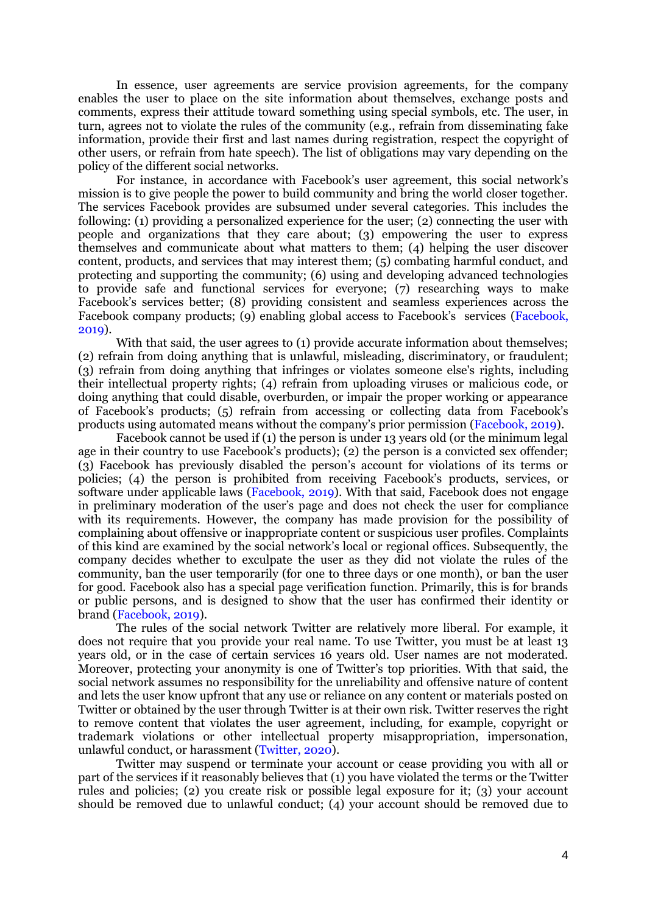In essence, user agreements are service provision agreements, for the company enables the user to place on the site information about themselves, exchange posts and comments, express their attitude toward something using special symbols, etc. The user, in turn, agrees not to violate the rules of the community (e.g., refrain from disseminating fake information, provide their first and last names during registration, respect the copyright of other users, or refrain from hate speech). The list of obligations may vary depending on the policy of the different social networks.

For instance, in accordance with Facebook's user agreement, this social network's mission is to give people the power to build community and bring the world closer together. The services Facebook provides are subsumed under several categories. This includes the following: (1) providing a personalized experience for the user; (2) connecting the user with people and organizations that they care about; (3) empowering the user to express themselves and communicate about what matters to them; (4) helping the user discover content, products, and services that may interest them; (5) combating harmful conduct, and protecting and supporting the community; (6) using and developing advanced technologies to provide safe and functional services for everyone; (7) researching ways to make Facebook's services better; (8) providing consistent and seamless experiences across the Facebook company products; (9) enabling global access to Facebook's services (Facebook, 2019).

With that said, the user agrees to (1) provide accurate information about themselves; (2) refrain from doing anything that is unlawful, misleading, discriminatory, or fraudulent; (3) refrain from doing anything that infringes or violates someone else's rights, including their intellectual property rights; (4) refrain from uploading viruses or malicious code, or doing anything that could disable, overburden, or impair the proper working or appearance of Facebook"s products; (5) refrain from accessing or collecting data from Facebook"s products using automated means without the company"s prior permission (Facebook, 2019).

Facebook cannot be used if (1) the person is under 13 years old (or the minimum legal age in their country to use Facebook's products); (2) the person is a convicted sex offender; (3) Facebook has previously disabled the person"s account for violations of its terms or policies; (4) the person is prohibited from receiving Facebook"s products, services, or software under applicable laws (Facebook, 2019). With that said, Facebook does not engage in preliminary moderation of the user"s page and does not check the user for compliance with its requirements. However, the company has made provision for the possibility of complaining about offensive or inappropriate content or suspicious user profiles. Complaints of this kind are examined by the social network"s local or regional offices. Subsequently, the company decides whether to exculpate the user as they did not violate the rules of the community, ban the user temporarily (for one to three days or one month), or ban the user for good. Facebook also has a special page verification function. Primarily, this is for brands or public persons, and is designed to show that the user has confirmed their identity or brand (Facebook, 2019).

The rules of the social network Twitter are relatively more liberal. For example, it does not require that you provide your real name. To use Twitter, you must be at least 13 years old, or in the case of certain services 16 years old. User names are not moderated. Moreover, protecting your anonymity is one of Twitter"s top priorities. With that said, the social network assumes no responsibility for the unreliability and offensive nature of content and lets the user know upfront that any use or reliance on any content or materials posted on Twitter or obtained by the user through Twitter is at their own risk. Twitter reserves the right to remove content that violates the user agreement, including, for example, copyright or trademark violations or other intellectual property misappropriation, impersonation, unlawful conduct, or harassment (Twitter, 2020).

Twitter may suspend or terminate your account or cease providing you with all or part of the services if it reasonably believes that (1) you have violated the terms or the Twitter rules and policies; (2) you create risk or possible legal exposure for it; (3) your account should be removed due to unlawful conduct; (4) your account should be removed due to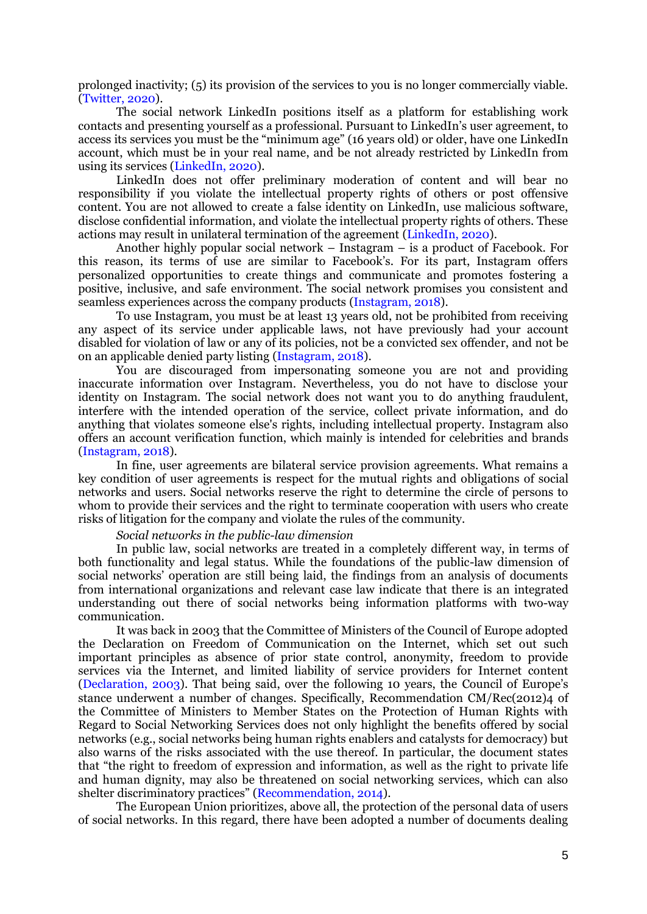prolonged inactivity; (5) its provision of the services to you is no longer commercially viable. (Twitter, 2020).

The social network LinkedIn positions itself as a platform for establishing work contacts and presenting yourself as a professional. Pursuant to LinkedIn"s user agreement, to access its services you must be the "minimum age" (16 years old) or older, have one LinkedIn account, which must be in your real name, and be not already restricted by LinkedIn from using its services (LinkedIn, 2020).

LinkedIn does not offer preliminary moderation of content and will bear no responsibility if you violate the intellectual property rights of others or post offensive content. You are not allowed to create a false identity on LinkedIn, use malicious software, disclose confidential information, and violate the intellectual property rights of others. These actions may result in unilateral termination of the agreement (LinkedIn, 2020).

Another highly popular social network – Instagram – is a product of Facebook. For this reason, its terms of use are similar to Facebook"s. For its part, Instagram offers personalized opportunities to create things and communicate and promotes fostering a positive, inclusive, and safe environment. The social network promises you consistent and seamless experiences across the company products (Instagram, 2018).

To use Instagram, you must be at least 13 years old, not be prohibited from receiving any aspect of its service under applicable laws, not have previously had your account disabled for violation of law or any of its policies, not be a convicted sex offender, and not be on an applicable denied party listing (Instagram, 2018).

You are discouraged from impersonating someone you are not and providing inaccurate information over Instagram. Nevertheless, you do not have to disclose your identity on Instagram. The social network does not want you to do anything fraudulent, interfere with the intended operation of the service, collect private information, and do anything that violates someone else's rights, including intellectual property. Instagram also offers an account verification function, which mainly is intended for celebrities and brands (Instagram, 2018).

In fine, user agreements are bilateral service provision agreements. What remains a key condition of user agreements is respect for the mutual rights and obligations of social networks and users. Social networks reserve the right to determine the circle of persons to whom to provide their services and the right to terminate cooperation with users who create risks of litigation for the company and violate the rules of the community.

*Social networks in the public-law dimension*

In public law, social networks are treated in a completely different way, in terms of both functionality and legal status. While the foundations of the public-law dimension of social networks" operation are still being laid, the findings from an analysis of documents from international organizations and relevant case law indicate that there is an integrated understanding out there of social networks being information platforms with two-way communication.

It was back in 2003 that the Committee of Ministers of the Council of Europe adopted the Declaration on Freedom of Communication on the Internet, which set out such important principles as absence of prior state control, anonymity, freedom to provide services via the Internet, and limited liability of service providers for Internet content (Declaration, 2003). That being said, over the following 10 years, the Council of Europe"s stance underwent a number of changes. Specifically, Recommendation CM/Rec(2012)4 of the Committee of Ministers to Member States on the Protection of Human Rights with Regard to Social Networking Services does not only highlight the benefits offered by social networks (e.g., social networks being human rights enablers and catalysts for democracy) but also warns of the risks associated with the use thereof. In particular, the document states that "the right to freedom of expression and information, as well as the right to private life and human dignity, may also be threatened on social networking services, which can also shelter discriminatory practices" (Recommendation, 2014).

The European Union prioritizes, above all, the protection of the personal data of users of social networks. In this regard, there have been adopted a number of documents dealing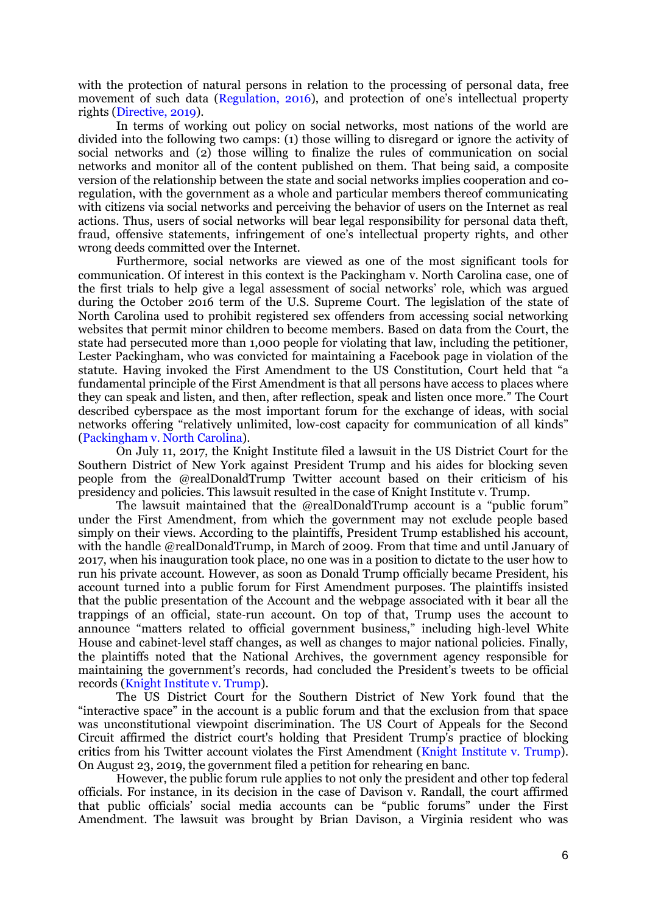with the protection of natural persons in relation to the processing of personal data, free movement of such data (Regulation, 2016), and protection of one's intellectual property rights (Directive, 2019).

In terms of working out policy on social networks, most nations of the world are divided into the following two camps: (1) those willing to disregard or ignore the activity of social networks and (2) those willing to finalize the rules of communication on social networks and monitor all of the content published on them. That being said, a composite version of the relationship between the state and social networks implies cooperation and coregulation, with the government as a whole and particular members thereof communicating with citizens via social networks and perceiving the behavior of users on the Internet as real actions. Thus, users of social networks will bear legal responsibility for personal data theft, fraud, offensive statements, infringement of one's intellectual property rights, and other wrong deeds committed over the Internet.

Furthermore, social networks are viewed as one of the most significant tools for communication. Of interest in this context is the Packingham v. North Carolina case, one of the first trials to help give a legal assessment of social networks" role, which was argued during the October 2016 term of the U.S. Supreme Court. The legislation of the state of North Carolina used to prohibit registered sex offenders from accessing social networking websites that permit minor children to become members. Based on data from the Court, the state had persecuted more than 1,000 people for violating that law, including the petitioner, Lester Packingham, who was convicted for maintaining a Facebook page in violation of the statute. Having invoked the First Amendment to the US Constitution, Court held that "a fundamental principle of the First Amendment is that all persons have access to places where they can speak and listen, and then, after reflection, speak and listen once more." The Court described cyberspace as the most important forum for the exchange of ideas, with social networks offering "relatively unlimited, low-cost capacity for communication of all kinds" (Packingham v. North Carolina).

On July 11, 2017, the Knight Institute filed a lawsuit in the US District Court for the Southern District of New York against President Trump and his aides for blocking seven people from the @realDonaldTrump Twitter account based on their criticism of his presidency and policies. This lawsuit resulted in the case of Knight Institute v. Trump.

The lawsuit maintained that the @realDonaldTrump account is a "public forum" under the First Amendment, from which the government may not exclude people based simply on their views. According to the plaintiffs, President Trump established his account, with the handle @realDonaldTrump, in March of 2009. From that time and until January of 2017, when his inauguration took place, no one was in a position to dictate to the user how to run his private account. However, as soon as Donald Trump officially became President, his account turned into a public forum for First Amendment purposes. The plaintiffs insisted that the public presentation of the Account and the webpage associated with it bear all the trappings of an official, state‐run account. On top of that, Trump uses the account to announce "matters related to official government business," including high‐level White House and cabinet-level staff changes, as well as changes to major national policies. Finally, the plaintiffs noted that the National Archives, the government agency responsible for maintaining the government's records, had concluded the President's tweets to be official records (Knight Institute v. Trump).

The US District Court for the Southern District of New York found that the "interactive space" in the account is a public forum and that the exclusion from that space was unconstitutional viewpoint discrimination. The US Court of Appeals for the Second Circuit affirmed the district court's holding that President Trump's practice of blocking critics from his Twitter account violates the First Amendment (Knight Institute v. Trump). On August 23, 2019, the government filed a petition for rehearing en banc.

However, the public forum rule applies to not only the president and other top federal officials. For instance, in its decision in the case of Davison v. Randall, the court affirmed that public officials" social media accounts can be "public forums" under the First Amendment. The lawsuit was brought by Brian Davison, a Virginia resident who was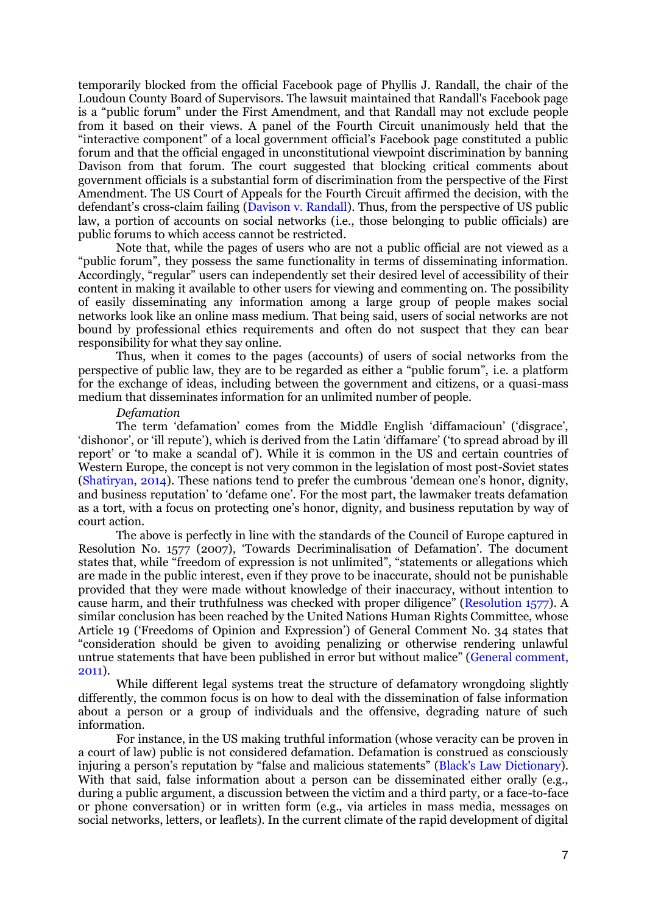temporarily blocked from the official Facebook page of Phyllis J. Randall, the chair of the Loudoun County Board of Supervisors. The lawsuit maintained that Randall's Facebook page is a "public forum" under the First Amendment, and that Randall may not exclude people from it based on their views. A panel of the Fourth Circuit unanimously held that the "interactive component" of a local government official"s Facebook page constituted a public forum and that the official engaged in unconstitutional viewpoint discrimination by banning Davison from that forum. The court suggested that blocking critical comments about government officials is a substantial form of discrimination from the perspective of the First Amendment. The US Court of Appeals for the Fourth Circuit affirmed the decision, with the defendant's cross-claim failing (Davison v. Randall). Thus, from the perspective of US public law, a portion of accounts on social networks (i.e., those belonging to public officials) are public forums to which access cannot be restricted.

Note that, while the pages of users who are not a public official are not viewed as a "public forum", they possess the same functionality in terms of disseminating information. Accordingly, "regular" users can independently set their desired level of accessibility of their content in making it available to other users for viewing and commenting on. The possibility of easily disseminating any information among a large group of people makes social networks look like an online mass medium. That being said, users of social networks are not bound by professional ethics requirements and often do not suspect that they can bear responsibility for what they say online.

Thus, when it comes to the pages (accounts) of users of social networks from the perspective of public law, they are to be regarded as either a "public forum", i.e. a platform for the exchange of ideas, including between the government and citizens, or a quasi-mass medium that disseminates information for an unlimited number of people.

#### *Defamation*

The term 'defamation' comes from the Middle English 'diffamacioun' ('disgrace', "dishonor", or "ill repute"), which is derived from the Latin "diffamare" ("to spread abroad by ill report" or "to make a scandal of"). While it is common in the US and certain countries of Western Europe, the concept is not very common in the legislation of most post-Soviet states (Shatiryan, 2014). These nations tend to prefer the cumbrous "demean one"s honor, dignity, and business reputation" to "defame one". For the most part, the lawmaker treats defamation as a tort, with a focus on protecting one"s honor, dignity, and business reputation by way of court action.

The above is perfectly in line with the standards of the Council of Europe captured in Resolution No. 1577 (2007), "Towards Decriminalisation of Defamation". The document states that, while "freedom of expression is not unlimited", "statements or allegations which are made in the public interest, even if they prove to be inaccurate, should not be punishable provided that they were made without knowledge of their inaccuracy, without intention to cause harm, and their truthfulness was checked with proper diligence" (Resolution 1577). A similar conclusion has been reached by the United Nations Human Rights Committee, whose Article 19 ("Freedoms of Opinion and Expression") of General Comment No. 34 states that "consideration should be given to avoiding penalizing or otherwise rendering unlawful untrue statements that have been published in error but without malice" (General comment, 2011).

While different legal systems treat the structure of defamatory wrongdoing slightly differently, the common focus is on how to deal with the dissemination of false information about a person or a group of individuals and the offensive, degrading nature of such information.

For instance, in the US making truthful information (whose veracity can be proven in a court of law) public is not considered defamation. Defamation is construed as consciously injuring a person's reputation by "false and malicious statements" (Black's Law Dictionary). With that said, false information about a person can be disseminated either orally (e.g., during a public argument, a discussion between the victim and a third party, or a face-to-face or phone conversation) or in written form (e.g., via articles in mass media, messages on social networks, letters, or leaflets). In the current climate of the rapid development of digital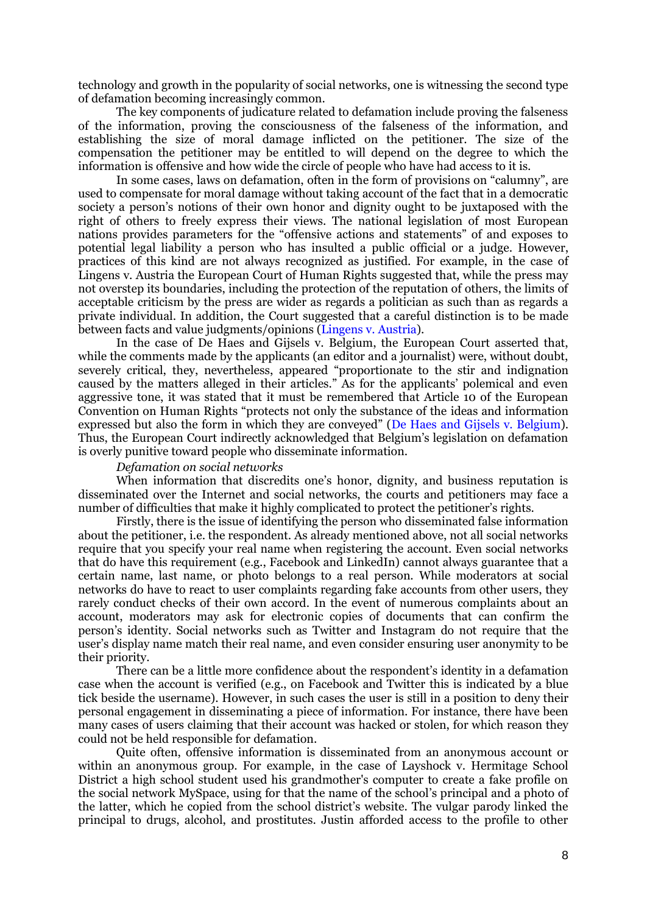technology and growth in the popularity of social networks, one is witnessing the second type of defamation becoming increasingly common.

The key components of judicature related to defamation include proving the falseness of the information, proving the consciousness of the falseness of the information, and establishing the size of moral damage inflicted on the petitioner. The size of the compensation the petitioner may be entitled to will depend on the degree to which the information is offensive and how wide the circle of people who have had access to it is.

In some cases, laws on defamation, often in the form of provisions on "calumny", are used to compensate for moral damage without taking account of the fact that in a democratic society a person's notions of their own honor and dignity ought to be juxtaposed with the right of others to freely express their views. The national legislation of most European nations provides parameters for the "offensive actions and statements" of and exposes to potential legal liability a person who has insulted a public official or a judge. However, practices of this kind are not always recognized as justified. For example, in the case of Lingens v. Austria the European Court of Human Rights suggested that, while the press may not overstep its boundaries, including the protection of the reputation of others, the limits of acceptable criticism by the press are wider as regards a politician as such than as regards a private individual. In addition, the Court suggested that a careful distinction is to be made between facts and value judgments/opinions (Lingens v. Austria).

In the case of De Haes and Gijsels v. Belgium, the European Court asserted that, while the comments made by the applicants (an editor and a journalist) were, without doubt, severely critical, they, nevertheless, appeared "proportionate to the stir and indignation caused by the matters alleged in their articles." As for the applicants" polemical and even aggressive tone, it was stated that it must be remembered that Article 10 of the European Convention on Human Rights "protects not only the substance of the ideas and information expressed but also the form in which they are conveyed" (De Haes and Gijsels v. Belgium). Thus, the European Court indirectly acknowledged that Belgium"s legislation on defamation is overly punitive toward people who disseminate information.

# *Defamation on social networks*

When information that discredits one's honor, dignity, and business reputation is disseminated over the Internet and social networks, the courts and petitioners may face a number of difficulties that make it highly complicated to protect the petitioner"s rights.

Firstly, there is the issue of identifying the person who disseminated false information about the petitioner, i.e. the respondent. As already mentioned above, not all social networks require that you specify your real name when registering the account. Even social networks that do have this requirement (e.g., Facebook and LinkedIn) cannot always guarantee that a certain name, last name, or photo belongs to a real person. While moderators at social networks do have to react to user complaints regarding fake accounts from other users, they rarely conduct checks of their own accord. In the event of numerous complaints about an account, moderators may ask for electronic copies of documents that can confirm the person"s identity. Social networks such as Twitter and Instagram do not require that the user"s display name match their real name, and even consider ensuring user anonymity to be their priority.

There can be a little more confidence about the respondent's identity in a defamation case when the account is verified (e.g., on Facebook and Twitter this is indicated by a blue tick beside the username). However, in such cases the user is still in a position to deny their personal engagement in disseminating a piece of information. For instance, there have been many cases of users claiming that their account was hacked or stolen, for which reason they could not be held responsible for defamation.

Quite often, offensive information is disseminated from an anonymous account or within an anonymous group. For example, in the case of Layshock v. Hermitage School District a high school student used his grandmother's computer to create a fake profile on the social network MySpace, using for that the name of the school"s principal and a photo of the latter, which he copied from the school district"s website. The vulgar parody linked the principal to drugs, alcohol, and prostitutes. Justin afforded access to the profile to other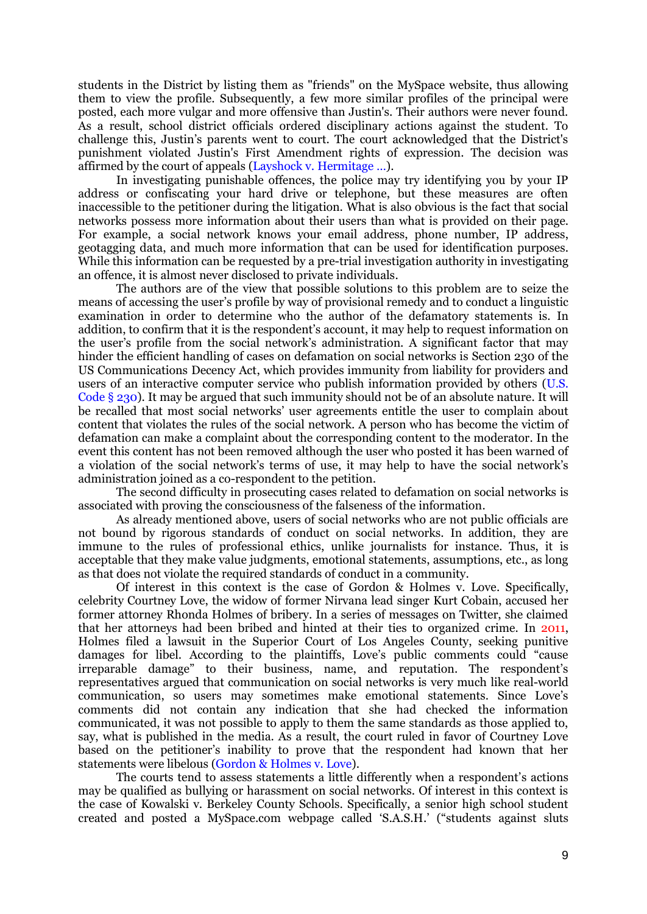students in the District by listing them as "friends" on the MySpace website, thus allowing them to view the profile. Subsequently, a few more similar profiles of the principal were posted, each more vulgar and more offensive than Justin's. Their authors were never found. As a result, school district officials ordered disciplinary actions against the student. To challenge this, Justin"s parents went to court. The court acknowledged that the District's punishment violated Justin's First Amendment rights of expression. The decision was affirmed by the court of appeals (Layshock v. Hermitage …).

In investigating punishable offences, the police may try identifying you by your IP address or confiscating your hard drive or telephone, but these measures are often inaccessible to the petitioner during the litigation. What is also obvious is the fact that social networks possess more information about their users than what is provided on their page. For example, a social network knows your email address, phone number, IP address, geotagging data, and much more information that can be used for identification purposes. While this information can be requested by a pre-trial investigation authority in investigating an offence, it is almost never disclosed to private individuals.

The authors are of the view that possible solutions to this problem are to seize the means of accessing the user"s profile by way of provisional remedy and to conduct a linguistic examination in order to determine who the author of the defamatory statements is. In addition, to confirm that it is the respondent's account, it may help to request information on the user"s profile from the social network"s administration. A significant factor that may hinder the efficient handling of cases on defamation on social networks is Section 230 of the US Communications Decency Act, which provides immunity from liability for providers and users of an interactive computer service who publish information provided by others (U.S. Code § 230). It may be argued that such immunity should not be of an absolute nature. It will be recalled that most social networks" user agreements entitle the user to complain about content that violates the rules of the social network. A person who has become the victim of defamation can make a complaint about the corresponding content to the moderator. In the event this content has not been removed although the user who posted it has been warned of a violation of the social network"s terms of use, it may help to have the social network"s administration joined as a co-respondent to the petition.

The second difficulty in prosecuting cases related to defamation on social networks is associated with proving the consciousness of the falseness of the information.

As already mentioned above, users of social networks who are not public officials are not bound by rigorous standards of conduct on social networks. In addition, they are immune to the rules of professional ethics, unlike journalists for instance. Thus, it is acceptable that they make value judgments, emotional statements, assumptions, etc., as long as that does not violate the required standards of conduct in a community.

Of interest in this context is the case of Gordon & Holmes v. Love. Specifically, celebrity Courtney Love, the widow of former Nirvana lead singer Kurt Cobain, accused her former attorney Rhonda Holmes of bribery. In a series of messages on Twitter, she claimed that her attorneys had been bribed and hinted at their ties to organized crime. In 2011, Holmes filed a lawsuit in the Superior Court of Los Angeles County, seeking punitive damages for libel. According to the plaintiffs, Love's public comments could "cause irreparable damage" to their business, name, and reputation. The respondent"s representatives argued that communication on social networks is very much like real-world communication, so users may sometimes make emotional statements. Since Love"s comments did not contain any indication that she had checked the information communicated, it was not possible to apply to them the same standards as those applied to, say, what is published in the media. As a result, the court ruled in favor of Courtney Love based on the petitioner"s inability to prove that the respondent had known that her statements were libelous (Gordon & Holmes v. Love).

The courts tend to assess statements a little differently when a respondent's actions may be qualified as bullying or harassment on social networks. Of interest in this context is the case of Kowalski v. Berkeley County Schools. Specifically, a senior high school student created and posted a MySpace.com webpage called "S.A.S.H." ("students against sluts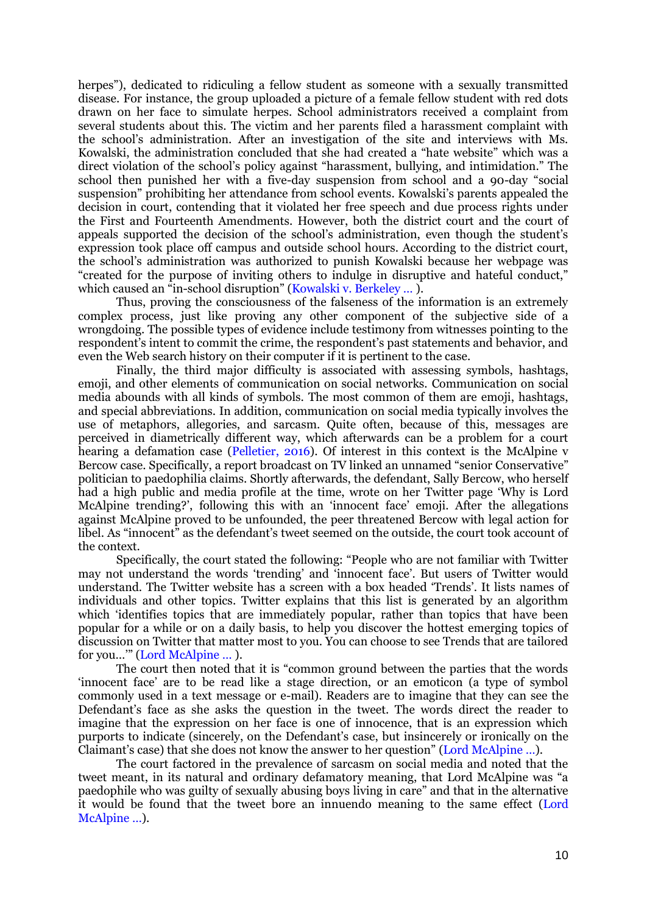herpes"), dedicated to ridiculing a fellow student as someone with a sexually transmitted disease. For instance, the group uploaded a picture of a female fellow student with red dots drawn on her face to simulate herpes. School administrators received a complaint from several students about this. The victim and her parents filed a harassment complaint with the school"s administration. After an investigation of the site and interviews with Ms. Kowalski, the administration concluded that she had created a "hate website" which was a direct violation of the school's policy against "harassment, bullying, and intimidation." The school then punished her with a five-day suspension from school and a 90-day "social suspension" prohibiting her attendance from school events. Kowalski"s parents appealed the decision in court, contending that it violated her free speech and due process rights under the First and Fourteenth Amendments. However, both the district court and the court of appeals supported the decision of the school's administration, even though the student's expression took place off campus and outside school hours. According to the district court, the school"s administration was authorized to punish Kowalski because her webpage was "created for the purpose of inviting others to indulge in disruptive and hateful conduct," which caused an "in-school disruption" (Kowalski v. Berkeley … ).

Thus, proving the consciousness of the falseness of the information is an extremely complex process, just like proving any other component of the subjective side of a wrongdoing. The possible types of evidence include testimony from witnesses pointing to the respondent"s intent to commit the crime, the respondent"s past statements and behavior, and even the Web search history on their computer if it is pertinent to the case.

Finally, the third major difficulty is associated with assessing symbols, hashtags, emoji, and other elements of communication on social networks. Communication on social media abounds with all kinds of symbols. The most common of them are emoji, hashtags, and special abbreviations. In addition, communication on social media typically involves the use of metaphors, allegories, and sarcasm. Quite often, because of this, messages are perceived in diametrically different way, which afterwards can be a problem for a court hearing a defamation case (Pelletier, 2016). Of interest in this context is the McAlpine v Bercow case. Specifically, a report broadcast on TV linked an unnamed "senior Conservative" politician to paedophilia claims. Shortly afterwards, the defendant, Sally Bercow, who herself had a high public and media profile at the time, wrote on her Twitter page "Why is Lord McAlpine trending?', following this with an 'innocent face' emoji. After the allegations against McAlpine proved to be unfounded, the peer threatened Bercow with legal action for libel. As "innocent" as the defendant"s tweet seemed on the outside, the court took account of the context.

Specifically, the court stated the following: "People who are not familiar with Twitter may not understand the words 'trending' and 'innocent face'. But users of Twitter would understand. The Twitter website has a screen with a box headed "Trends". It lists names of individuals and other topics. Twitter explains that this list is generated by an algorithm which "identifies topics that are immediately popular, rather than topics that have been popular for a while or on a daily basis, to help you discover the hottest emerging topics of discussion on Twitter that matter most to you. You can choose to see Trends that are tailored for you..."" (Lord McAlpine ...).

The court then noted that it is "common ground between the parties that the words "innocent face" are to be read like a stage direction, or an emoticon (a type of symbol commonly used in a text message or e-mail). Readers are to imagine that they can see the Defendant's face as she asks the question in the tweet. The words direct the reader to imagine that the expression on her face is one of innocence, that is an expression which purports to indicate (sincerely, on the Defendant"s case, but insincerely or ironically on the Claimant's case) that she does not know the answer to her question" (Lord McAlpine ...).

The court factored in the prevalence of sarcasm on social media and noted that the tweet meant, in its natural and ordinary defamatory meaning, that Lord McAlpine was "a paedophile who was guilty of sexually abusing boys living in care" and that in the alternative it would be found that the tweet bore an innuendo meaning to the same effect (Lord McAlpine …).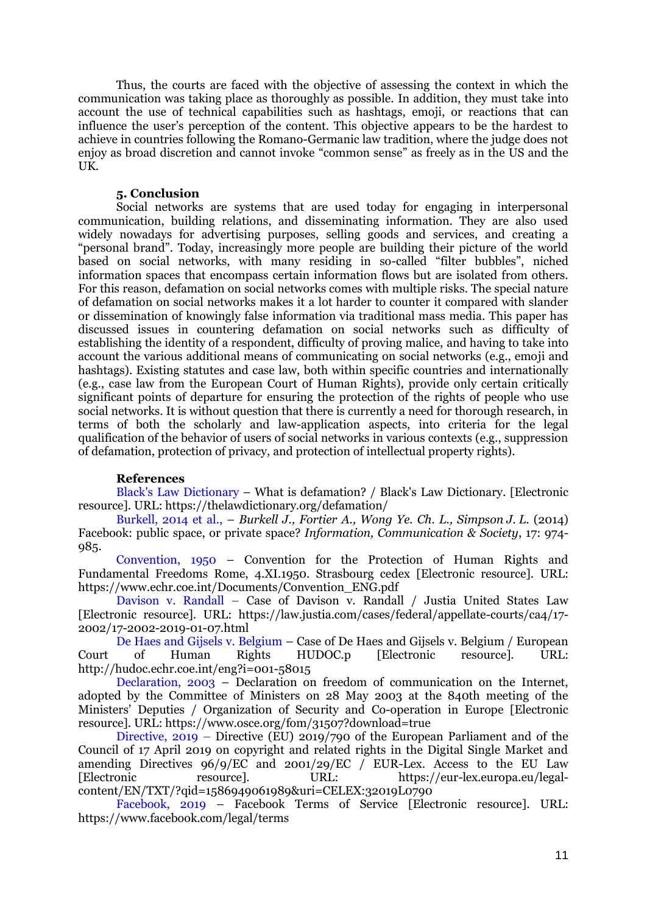Thus, the courts are faced with the objective of assessing the context in which the communication was taking place as thoroughly as possible. In addition, they must take into account the use of technical capabilities such as hashtags, emoji, or reactions that can influence the user"s perception of the content. This objective appears to be the hardest to achieve in countries following the Romano-Germanic law tradition, where the judge does not enjoy as broad discretion and cannot invoke "common sense" as freely as in the US and the UK.

## **5. Conclusion**

Social networks are systems that are used today for engaging in interpersonal communication, building relations, and disseminating information. They are also used widely nowadays for advertising purposes, selling goods and services, and creating a "personal brand". Today, increasingly more people are building their picture of the world based on social networks, with many residing in so-called "filter bubbles", niched information spaces that encompass certain information flows but are isolated from others. For this reason, defamation on social networks comes with multiple risks. The special nature of defamation on social networks makes it a lot harder to counter it compared with slander or dissemination of knowingly false information via traditional mass media. This paper has discussed issues in countering defamation on social networks such as difficulty of establishing the identity of a respondent, difficulty of proving malice, and having to take into account the various additional means of communicating on social networks (e.g., emoji and hashtags). Existing statutes and case law, both within specific countries and internationally (e.g., case law from the European Court of Human Rights), provide only certain critically significant points of departure for ensuring the protection of the rights of people who use social networks. It is without question that there is currently a need for thorough research, in terms of both the scholarly and law-application aspects, into criteria for the legal qualification of the behavior of users of social networks in various contexts (e.g., suppression of defamation, protection of privacy, and protection of intellectual property rights).

# **References**

Black's Law Dictionary – What is defamation? / Black's Law Dictionary. [Electronic resource]. URL: https://thelawdictionary.org/defamation/

Burkell, 2014 et al., – *Burkell J., Fortier A., Wong Ye. Ch. L., Simpson J. L.* (2014) Facebook: public space, or private space? *Information, Communication & Society*, 17: 974- 985.

Convention, 1950 – Convention for the Protection of Human Rights and Fundamental Freedoms Rome, 4.XI.1950. Strasbourg cedex [Electronic resource]. URL: https://www.echr.coe.int/Documents/Convention\_ENG.pdf

Davison v. Randall – Case of Davison v. Randall / Justia United States Law [Electronic resource]. URL: https://law.justia.com/cases/federal/appellate-courts/ca4/17- 2002/17-2002-2019-01-07.html

De Haes and Gijsels v. Belgium – Case of De Haes and Gijsels v. Belgium / European Court of Human Rights HUDOC.p [Electronic resource]. URL: http://hudoc.echr.coe.int/eng?i=001-58015

Declaration, 2003 – Declaration on freedom of communication on the Internet, adopted by the Committee of Ministers on 28 May 2003 at the 840th meeting of the Ministers" Deputies / Organization of Security and Co-operation in Europe [Electronic resource]. URL: https://www.osce.org/fom/31507?download=true

Directive, 2019 – Directive (EU) 2019/790 of the European Parliament and of the Council of 17 April 2019 on copyright and related rights in the Digital Single Market and amending Directives  $96/9/EC$  and  $2001/29/EC$  / EUR-Lex. Access to the EU Law [Electronic resource]. URL: https://eur-lex.europa.eu/legalcontent/EN/TXT/?qid=1586949061989&uri=CELEX:32019L0790

Facebook, 2019 – Facebook Terms of Service [Electronic resource]. URL: https://www.facebook.com/legal/terms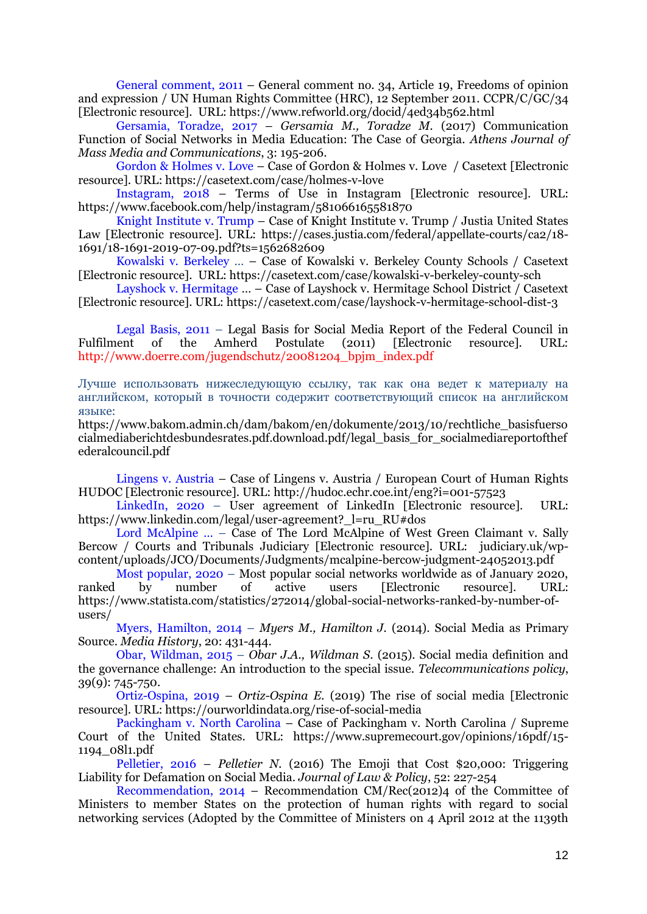General comment, 2011 – General comment no. 34, Article 19, Freedoms of opinion and expression / UN Human Rights Committee (HRC), 12 September 2011. CCPR/C/GC/34 [Electronic resource]. URL: https://www.refworld.org/docid/4ed34b562.html

Gersamia, Toradze, 2017 – *Gersamia M., Toradze M.* (2017) Communication Function of Social Networks in Media Education: The Case of Georgia. *Athens Journal of Mass Media and Communications*, 3: 195-206.

Gordon & Holmes v. Love – Case of Gordon & Holmes v. Love / Casetext [Electronic resource]. URL: https://casetext.com/case/holmes-v-love

Instagram, 2018 – Terms of Use in Instagram [Electronic resource]. URL: https://www.facebook.com/help/instagram/581066165581870

Knight Institute v. Trump – Case of Knight Institute v. Trump / Justia United States Law [Electronic resource]. URL: https://cases.justia.com/federal/appellate-courts/ca2/18- 1691/18-1691-2019-07-09.pdf?ts=1562682609

Kowalski v. Berkeley … – Case of Kowalski v. Berkeley County Schools / Casetext [Electronic resource]. URL: https://casetext.com/case/kowalski-v-berkeley-county-sch

Layshock v. Hermitage … – Case of Layshock v. Hermitage School District / Casetext [Electronic resource]. URL: https://casetext.com/case/layshock-v-hermitage-school-dist-3

Legal Basis, 2011 – Legal Basis for Social Media Report of the Federal Council in Fulfilment of the Amherd Postulate (2011) [Electronic resource]. URL: http://www.doerre.com/jugendschutz/20081204\_bpjm\_index.pdf

Лучше использовать нижеследующую ссылку, так как она ведет к материалу на английском, который в точности содержит соответствующий список на английском языке:

https://www.bakom.admin.ch/dam/bakom/en/dokumente/2013/10/rechtliche\_basisfuerso cialmediaberichtdesbundesrates.pdf.download.pdf/legal\_basis\_for\_socialmediareportofthef ederalcouncil.pdf

Lingens v. Austria – Case of Lingens v. Austria / European Court of Human Rights HUDOC [Electronic resource]. URL: http://hudoc.echr.coe.int/eng?i=001-57523

LinkedIn, 2020 – User agreement of LinkedIn [Electronic resource]. URL: https://www.linkedin.com/legal/user-agreement?\_l=ru\_RU#dos

Lord McAlpine … – Case of The Lord McAlpine of West Green Claimant v. Sally Bercow / Courts and Tribunals Judiciary [Electronic resource]. URL: judiciary.uk/wpcontent/uploads/JCO/Documents/Judgments/mcalpine-bercow-judgment-24052013.pdf

Most popular, 2020 – Most popular social networks worldwide as of January 2020, ranked by number of active users [Electronic resource]. URL: https://www.statista.com/statistics/272014/global-social-networks-ranked-by-number-ofusers/

Myers, Hamilton, 2014 – *Myers M., Hamilton J.* (2014). Social Media as Primary Source. *Media History*, 20: 431-444.

Obar, Wildman, 2015 – *Obar J.A., Wildman S*. (2015). Social media definition and the governance challenge: An introduction to the special issue. *Telecommunications policy*, 39(9): 745-750.

Ortiz-Ospina, 2019 – *Ortiz-Ospina E.* (2019) The rise of social media [Electronic resource]. URL: https://ourworldindata.org/rise-of-social-media

Packingham v. North Carolina – Case of Packingham v. North Carolina / Supreme Court of the United States. URL: https://www.supremecourt.gov/opinions/16pdf/15- 1194\_08l1.pdf

Pelletier, 2016 – *Pelletier N.* (2016) The Emoji that Cost \$20,000: Triggering Liability for Defamation on Social Media. *Journal of Law & Policy*, 52: 227-254

Recommendation, 2014 – Recommendation CM/Rec(2012)4 of the Committee of Ministers to member States on the protection of human rights with regard to social networking services (Adopted by the Committee of Ministers on 4 April 2012 at the 1139th